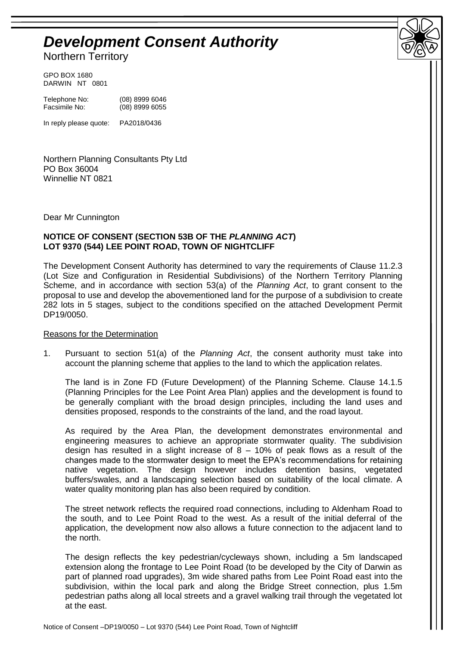# *Development Consent Authority*

Northern Territory

GPO BOX 1680 DARWIN NT 0801

Telephone No: (08) 8999 6046<br>Facsimile No: (08) 8999 6055 (08) 8999 6055

In reply please quote: PA2018/0436

Northern Planning Consultants Pty Ltd PO Box 36004 Winnellie NT 0821

Dear Mr Cunnington

## **NOTICE OF CONSENT (SECTION 53B OF THE** *PLANNING ACT***) LOT 9370 (544) LEE POINT ROAD, TOWN OF NIGHTCLIFF**

The Development Consent Authority has determined to vary the requirements of Clause 11.2.3 (Lot Size and Configuration in Residential Subdivisions) of the Northern Territory Planning Scheme, and in accordance with section 53(a) of the *Planning Act*, to grant consent to the proposal to use and develop the abovementioned land for the purpose of a subdivision to create 282 lots in 5 stages, subject to the conditions specified on the attached Development Permit DP19/0050.

**D C A**

#### Reasons for the Determination

1. Pursuant to section 51(a) of the *Planning Act*, the consent authority must take into account the planning scheme that applies to the land to which the application relates.

The land is in Zone FD (Future Development) of the Planning Scheme. Clause 14.1.5 (Planning Principles for the Lee Point Area Plan) applies and the development is found to be generally compliant with the broad design principles, including the land uses and densities proposed, responds to the constraints of the land, and the road layout.

As required by the Area Plan, the development demonstrates environmental and engineering measures to achieve an appropriate stormwater quality. The subdivision design has resulted in a slight increase of  $8 - 10\%$  of peak flows as a result of the changes made to the stormwater design to meet the EPA's recommendations for retaining native vegetation. The design however includes detention basins, vegetated buffers/swales, and a landscaping selection based on suitability of the local climate. A water quality monitoring plan has also been required by condition.

The street network reflects the required road connections, including to Aldenham Road to the south, and to Lee Point Road to the west. As a result of the initial deferral of the application, the development now also allows a future connection to the adjacent land to the north.

The design reflects the key pedestrian/cycleways shown, including a 5m landscaped extension along the frontage to Lee Point Road (to be developed by the City of Darwin as part of planned road upgrades), 3m wide shared paths from Lee Point Road east into the subdivision, within the local park and along the Bridge Street connection, plus 1.5m pedestrian paths along all local streets and a gravel walking trail through the vegetated lot at the east.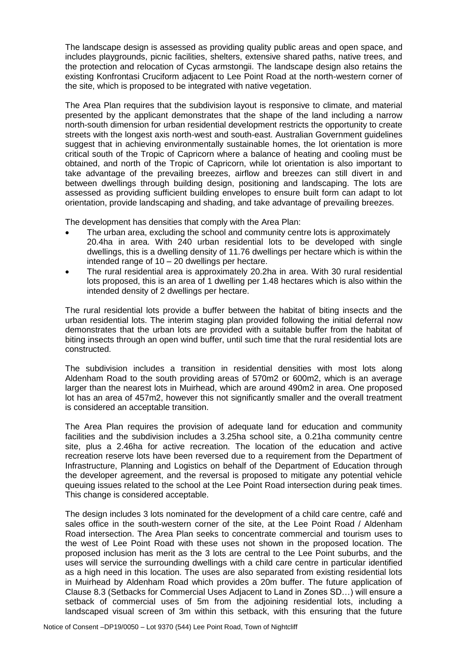The landscape design is assessed as providing quality public areas and open space, and includes playgrounds, picnic facilities, shelters, extensive shared paths, native trees, and the protection and relocation of Cycas armstongii. The landscape design also retains the existing Konfrontasi Cruciform adjacent to Lee Point Road at the north-western corner of the site, which is proposed to be integrated with native vegetation.

The Area Plan requires that the subdivision layout is responsive to climate, and material presented by the applicant demonstrates that the shape of the land including a narrow north-south dimension for urban residential development restricts the opportunity to create streets with the longest axis north-west and south-east. Australian Government guidelines suggest that in achieving environmentally sustainable homes, the lot orientation is more critical south of the Tropic of Capricorn where a balance of heating and cooling must be obtained, and north of the Tropic of Capricorn, while lot orientation is also important to take advantage of the prevailing breezes, airflow and breezes can still divert in and between dwellings through building design, positioning and landscaping. The lots are assessed as providing sufficient building envelopes to ensure built form can adapt to lot orientation, provide landscaping and shading, and take advantage of prevailing breezes.

The development has densities that comply with the Area Plan:

- The urban area, excluding the school and community centre lots is approximately 20.4ha in area. With 240 urban residential lots to be developed with single dwellings, this is a dwelling density of 11.76 dwellings per hectare which is within the intended range of 10 – 20 dwellings per hectare.
- The rural residential area is approximately 20.2ha in area. With 30 rural residential lots proposed, this is an area of 1 dwelling per 1.48 hectares which is also within the intended density of 2 dwellings per hectare.

The rural residential lots provide a buffer between the habitat of biting insects and the urban residential lots. The interim staging plan provided following the initial deferral now demonstrates that the urban lots are provided with a suitable buffer from the habitat of biting insects through an open wind buffer, until such time that the rural residential lots are constructed.

The subdivision includes a transition in residential densities with most lots along Aldenham Road to the south providing areas of 570m2 or 600m2, which is an average larger than the nearest lots in Muirhead, which are around 490m2 in area. One proposed lot has an area of 457m2, however this not significantly smaller and the overall treatment is considered an acceptable transition.

The Area Plan requires the provision of adequate land for education and community facilities and the subdivision includes a 3.25ha school site, a 0.21ha community centre site, plus a 2.46ha for active recreation. The location of the education and active recreation reserve lots have been reversed due to a requirement from the Department of Infrastructure, Planning and Logistics on behalf of the Department of Education through the developer agreement, and the reversal is proposed to mitigate any potential vehicle queuing issues related to the school at the Lee Point Road intersection during peak times. This change is considered acceptable.

The design includes 3 lots nominated for the development of a child care centre, café and sales office in the south-western corner of the site, at the Lee Point Road / Aldenham Road intersection. The Area Plan seeks to concentrate commercial and tourism uses to the west of Lee Point Road with these uses not shown in the proposed location. The proposed inclusion has merit as the 3 lots are central to the Lee Point suburbs, and the uses will service the surrounding dwellings with a child care centre in particular identified as a high need in this location. The uses are also separated from existing residential lots in Muirhead by Aldenham Road which provides a 20m buffer. The future application of Clause 8.3 (Setbacks for Commercial Uses Adjacent to Land in Zones SD…) will ensure a setback of commercial uses of 5m from the adjoining residential lots, including a landscaped visual screen of 3m within this setback, with this ensuring that the future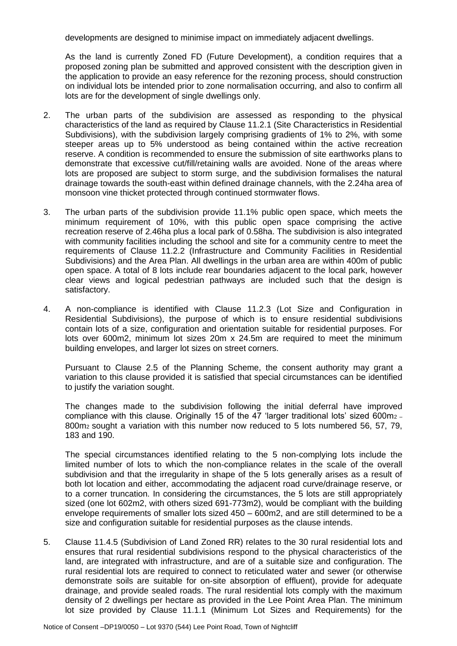developments are designed to minimise impact on immediately adjacent dwellings.

As the land is currently Zoned FD (Future Development), a condition requires that a proposed zoning plan be submitted and approved consistent with the description given in the application to provide an easy reference for the rezoning process, should construction on individual lots be intended prior to zone normalisation occurring, and also to confirm all lots are for the development of single dwellings only.

- 2. The urban parts of the subdivision are assessed as responding to the physical characteristics of the land as required by Clause 11.2.1 (Site Characteristics in Residential Subdivisions), with the subdivision largely comprising gradients of 1% to 2%, with some steeper areas up to 5% understood as being contained within the active recreation reserve. A condition is recommended to ensure the submission of site earthworks plans to demonstrate that excessive cut/fill/retaining walls are avoided. None of the areas where lots are proposed are subject to storm surge, and the subdivision formalises the natural drainage towards the south-east within defined drainage channels, with the 2.24ha area of monsoon vine thicket protected through continued stormwater flows.
- 3. The urban parts of the subdivision provide 11.1% public open space, which meets the minimum requirement of 10%, with this public open space comprising the active recreation reserve of 2.46ha plus a local park of 0.58ha. The subdivision is also integrated with community facilities including the school and site for a community centre to meet the requirements of Clause 11.2.2 (Infrastructure and Community Facilities in Residential Subdivisions) and the Area Plan. All dwellings in the urban area are within 400m of public open space. A total of 8 lots include rear boundaries adjacent to the local park, however clear views and logical pedestrian pathways are included such that the design is satisfactory.
- 4. A non-compliance is identified with Clause 11.2.3 (Lot Size and Configuration in Residential Subdivisions), the purpose of which is to ensure residential subdivisions contain lots of a size, configuration and orientation suitable for residential purposes. For lots over 600m2, minimum lot sizes 20m x 24.5m are required to meet the minimum building envelopes, and larger lot sizes on street corners.

Pursuant to Clause 2.5 of the Planning Scheme, the consent authority may grant a variation to this clause provided it is satisfied that special circumstances can be identified to justify the variation sought.

The changes made to the subdivision following the initial deferral have improved compliance with this clause. Originally 15 of the  $47$  'larger traditional lots' sized 600m<sub>2</sub> -800m2 sought a variation with this number now reduced to 5 lots numbered 56, 57, 79, 183 and 190.

The special circumstances identified relating to the 5 non-complying lots include the limited number of lots to which the non-compliance relates in the scale of the overall subdivision and that the irregularity in shape of the 5 lots generally arises as a result of both lot location and either, accommodating the adjacent road curve/drainage reserve, or to a corner truncation. In considering the circumstances, the 5 lots are still appropriately sized (one lot 602m2, with others sized 691-773m2), would be compliant with the building envelope requirements of smaller lots sized 450 – 600m2, and are still determined to be a size and configuration suitable for residential purposes as the clause intends.

5. Clause 11.4.5 (Subdivision of Land Zoned RR) relates to the 30 rural residential lots and ensures that rural residential subdivisions respond to the physical characteristics of the land, are integrated with infrastructure, and are of a suitable size and configuration. The rural residential lots are required to connect to reticulated water and sewer (or otherwise demonstrate soils are suitable for on-site absorption of effluent), provide for adequate drainage, and provide sealed roads. The rural residential lots comply with the maximum density of 2 dwellings per hectare as provided in the Lee Point Area Plan. The minimum lot size provided by Clause 11.1.1 (Minimum Lot Sizes and Requirements) for the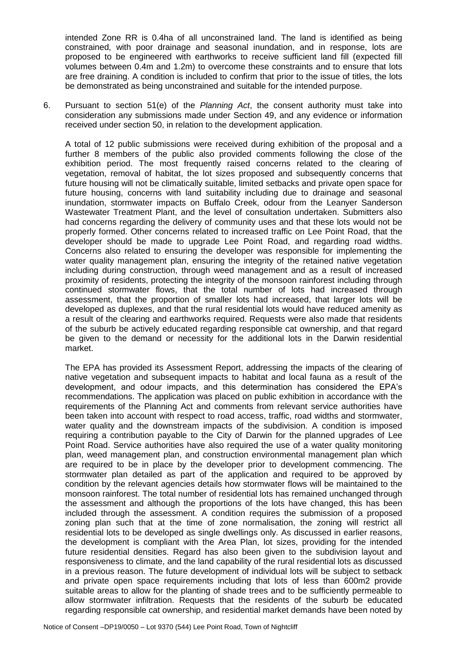intended Zone RR is 0.4ha of all unconstrained land. The land is identified as being constrained, with poor drainage and seasonal inundation, and in response, lots are proposed to be engineered with earthworks to receive sufficient land fill (expected fill volumes between 0.4m and 1.2m) to overcome these constraints and to ensure that lots are free draining. A condition is included to confirm that prior to the issue of titles, the lots be demonstrated as being unconstrained and suitable for the intended purpose.

6. Pursuant to section 51(e) of the *Planning Act*, the consent authority must take into consideration any submissions made under Section 49, and any evidence or information received under section 50, in relation to the development application.

A total of 12 public submissions were received during exhibition of the proposal and a further 8 members of the public also provided comments following the close of the exhibition period. The most frequently raised concerns related to the clearing of vegetation, removal of habitat, the lot sizes proposed and subsequently concerns that future housing will not be climatically suitable, limited setbacks and private open space for future housing, concerns with land suitability including due to drainage and seasonal inundation, stormwater impacts on Buffalo Creek, odour from the Leanyer Sanderson Wastewater Treatment Plant, and the level of consultation undertaken. Submitters also had concerns regarding the delivery of community uses and that these lots would not be properly formed. Other concerns related to increased traffic on Lee Point Road, that the developer should be made to upgrade Lee Point Road, and regarding road widths. Concerns also related to ensuring the developer was responsible for implementing the water quality management plan, ensuring the integrity of the retained native vegetation including during construction, through weed management and as a result of increased proximity of residents, protecting the integrity of the monsoon rainforest including through continued stormwater flows, that the total number of lots had increased through assessment, that the proportion of smaller lots had increased, that larger lots will be developed as duplexes, and that the rural residential lots would have reduced amenity as a result of the clearing and earthworks required. Requests were also made that residents of the suburb be actively educated regarding responsible cat ownership, and that regard be given to the demand or necessity for the additional lots in the Darwin residential market.

The EPA has provided its Assessment Report, addressing the impacts of the clearing of native vegetation and subsequent impacts to habitat and local fauna as a result of the development, and odour impacts, and this determination has considered the EPA's recommendations. The application was placed on public exhibition in accordance with the requirements of the Planning Act and comments from relevant service authorities have been taken into account with respect to road access, traffic, road widths and stormwater, water quality and the downstream impacts of the subdivision. A condition is imposed requiring a contribution payable to the City of Darwin for the planned upgrades of Lee Point Road. Service authorities have also required the use of a water quality monitoring plan, weed management plan, and construction environmental management plan which are required to be in place by the developer prior to development commencing. The stormwater plan detailed as part of the application and required to be approved by condition by the relevant agencies details how stormwater flows will be maintained to the monsoon rainforest. The total number of residential lots has remained unchanged through the assessment and although the proportions of the lots have changed, this has been included through the assessment. A condition requires the submission of a proposed zoning plan such that at the time of zone normalisation, the zoning will restrict all residential lots to be developed as single dwellings only. As discussed in earlier reasons, the development is compliant with the Area Plan, lot sizes, providing for the intended future residential densities. Regard has also been given to the subdivision layout and responsiveness to climate, and the land capability of the rural residential lots as discussed in a previous reason. The future development of individual lots will be subject to setback and private open space requirements including that lots of less than 600m2 provide suitable areas to allow for the planting of shade trees and to be sufficiently permeable to allow stormwater infiltration. Requests that the residents of the suburb be educated regarding responsible cat ownership, and residential market demands have been noted by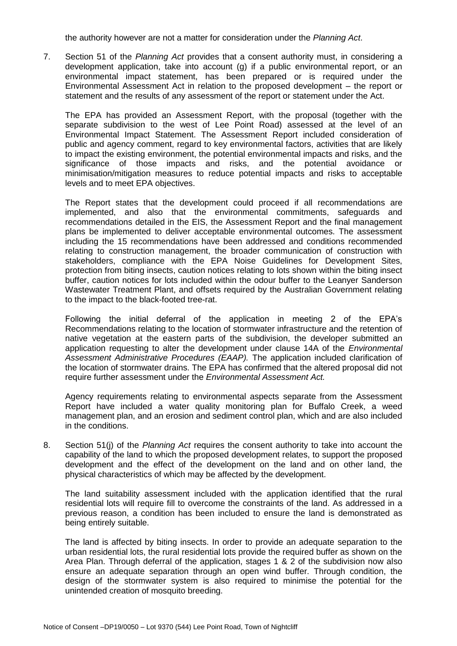the authority however are not a matter for consideration under the *Planning Act*.

7. Section 51 of the *Planning Act* provides that a consent authority must, in considering a development application, take into account (g) if a public environmental report, or an environmental impact statement, has been prepared or is required under the Environmental Assessment Act in relation to the proposed development – the report or statement and the results of any assessment of the report or statement under the Act.

The EPA has provided an Assessment Report, with the proposal (together with the separate subdivision to the west of Lee Point Road) assessed at the level of an Environmental Impact Statement. The Assessment Report included consideration of public and agency comment, regard to key environmental factors, activities that are likely to impact the existing environment, the potential environmental impacts and risks, and the significance of those impacts and risks, and the potential avoidance or minimisation/mitigation measures to reduce potential impacts and risks to acceptable levels and to meet EPA objectives.

The Report states that the development could proceed if all recommendations are implemented, and also that the environmental commitments, safeguards and recommendations detailed in the EIS, the Assessment Report and the final management plans be implemented to deliver acceptable environmental outcomes. The assessment including the 15 recommendations have been addressed and conditions recommended relating to construction management, the broader communication of construction with stakeholders, compliance with the EPA Noise Guidelines for Development Sites, protection from biting insects, caution notices relating to lots shown within the biting insect buffer, caution notices for lots included within the odour buffer to the Leanyer Sanderson Wastewater Treatment Plant, and offsets required by the Australian Government relating to the impact to the black-footed tree-rat.

Following the initial deferral of the application in meeting 2 of the EPA's Recommendations relating to the location of stormwater infrastructure and the retention of native vegetation at the eastern parts of the subdivision, the developer submitted an application requesting to alter the development under clause 14A of the *Environmental Assessment Administrative Procedures (EAAP).* The application included clarification of the location of stormwater drains. The EPA has confirmed that the altered proposal did not require further assessment under the *Environmental Assessment Act.*

Agency requirements relating to environmental aspects separate from the Assessment Report have included a water quality monitoring plan for Buffalo Creek, a weed management plan, and an erosion and sediment control plan, which and are also included in the conditions.

8. Section 51(j) of the *Planning Act* requires the consent authority to take into account the capability of the land to which the proposed development relates, to support the proposed development and the effect of the development on the land and on other land, the physical characteristics of which may be affected by the development.

The land suitability assessment included with the application identified that the rural residential lots will require fill to overcome the constraints of the land. As addressed in a previous reason, a condition has been included to ensure the land is demonstrated as being entirely suitable.

The land is affected by biting insects. In order to provide an adequate separation to the urban residential lots, the rural residential lots provide the required buffer as shown on the Area Plan. Through deferral of the application, stages 1 & 2 of the subdivision now also ensure an adequate separation through an open wind buffer. Through condition, the design of the stormwater system is also required to minimise the potential for the unintended creation of mosquito breeding.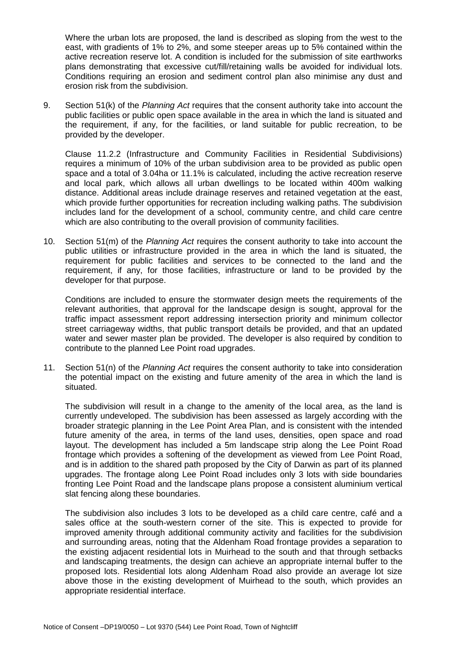Where the urban lots are proposed, the land is described as sloping from the west to the east, with gradients of 1% to 2%, and some steeper areas up to 5% contained within the active recreation reserve lot. A condition is included for the submission of site earthworks plans demonstrating that excessive cut/fill/retaining walls be avoided for individual lots. Conditions requiring an erosion and sediment control plan also minimise any dust and erosion risk from the subdivision.

9. Section 51(k) of the *Planning Act* requires that the consent authority take into account the public facilities or public open space available in the area in which the land is situated and the requirement, if any, for the facilities, or land suitable for public recreation, to be provided by the developer.

Clause 11.2.2 (Infrastructure and Community Facilities in Residential Subdivisions) requires a minimum of 10% of the urban subdivision area to be provided as public open space and a total of 3.04ha or 11.1% is calculated, including the active recreation reserve and local park, which allows all urban dwellings to be located within 400m walking distance. Additional areas include drainage reserves and retained vegetation at the east, which provide further opportunities for recreation including walking paths. The subdivision includes land for the development of a school, community centre, and child care centre which are also contributing to the overall provision of community facilities.

10. Section 51(m) of the *Planning Act* requires the consent authority to take into account the public utilities or infrastructure provided in the area in which the land is situated, the requirement for public facilities and services to be connected to the land and the requirement, if any, for those facilities, infrastructure or land to be provided by the developer for that purpose.

Conditions are included to ensure the stormwater design meets the requirements of the relevant authorities, that approval for the landscape design is sought, approval for the traffic impact assessment report addressing intersection priority and minimum collector street carriageway widths, that public transport details be provided, and that an updated water and sewer master plan be provided. The developer is also required by condition to contribute to the planned Lee Point road upgrades.

11. Section 51(n) of the *Planning Act* requires the consent authority to take into consideration the potential impact on the existing and future amenity of the area in which the land is situated.

The subdivision will result in a change to the amenity of the local area, as the land is currently undeveloped. The subdivision has been assessed as largely according with the broader strategic planning in the Lee Point Area Plan, and is consistent with the intended future amenity of the area, in terms of the land uses, densities, open space and road layout. The development has included a 5m landscape strip along the Lee Point Road frontage which provides a softening of the development as viewed from Lee Point Road, and is in addition to the shared path proposed by the City of Darwin as part of its planned upgrades. The frontage along Lee Point Road includes only 3 lots with side boundaries fronting Lee Point Road and the landscape plans propose a consistent aluminium vertical slat fencing along these boundaries.

The subdivision also includes 3 lots to be developed as a child care centre, café and a sales office at the south-western corner of the site. This is expected to provide for improved amenity through additional community activity and facilities for the subdivision and surrounding areas, noting that the Aldenham Road frontage provides a separation to the existing adjacent residential lots in Muirhead to the south and that through setbacks and landscaping treatments, the design can achieve an appropriate internal buffer to the proposed lots. Residential lots along Aldenham Road also provide an average lot size above those in the existing development of Muirhead to the south, which provides an appropriate residential interface.